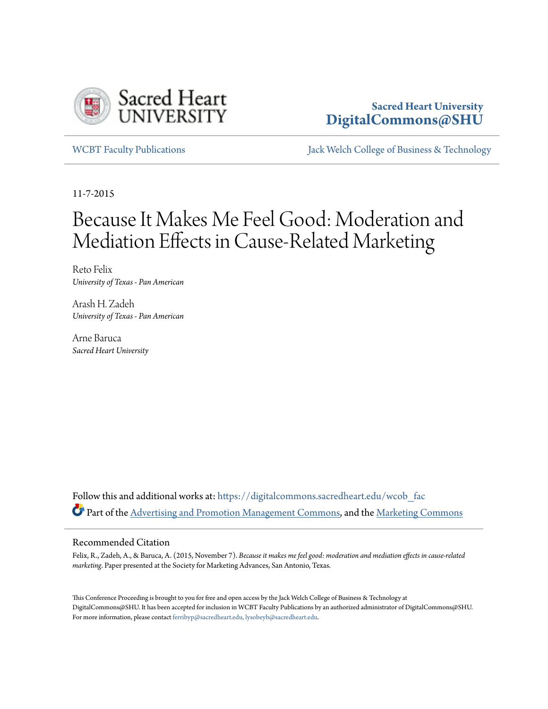

## **Sacred Heart University [DigitalCommons@SHU](https://digitalcommons.sacredheart.edu/?utm_source=digitalcommons.sacredheart.edu%2Fwcob_fac%2F410&utm_medium=PDF&utm_campaign=PDFCoverPages)**

[WCBT Faculty Publications](https://digitalcommons.sacredheart.edu/wcob_fac?utm_source=digitalcommons.sacredheart.edu%2Fwcob_fac%2F410&utm_medium=PDF&utm_campaign=PDFCoverPages) [Jack Welch College of Business & Technology](https://digitalcommons.sacredheart.edu/wcob?utm_source=digitalcommons.sacredheart.edu%2Fwcob_fac%2F410&utm_medium=PDF&utm_campaign=PDFCoverPages)

11-7-2015

# Because It Makes Me Feel Good: Moderation and Mediation Effects in Cause-Related Marketing

Reto Felix *University of Texas - Pan American*

Arash H. Zadeh *University of Texas - Pan American*

Arne Baruca *Sacred Heart University*

Follow this and additional works at: [https://digitalcommons.sacredheart.edu/wcob\\_fac](https://digitalcommons.sacredheart.edu/wcob_fac?utm_source=digitalcommons.sacredheart.edu%2Fwcob_fac%2F410&utm_medium=PDF&utm_campaign=PDFCoverPages) Part of the [Advertising and Promotion Management Commons,](http://network.bepress.com/hgg/discipline/626?utm_source=digitalcommons.sacredheart.edu%2Fwcob_fac%2F410&utm_medium=PDF&utm_campaign=PDFCoverPages) and the [Marketing Commons](http://network.bepress.com/hgg/discipline/638?utm_source=digitalcommons.sacredheart.edu%2Fwcob_fac%2F410&utm_medium=PDF&utm_campaign=PDFCoverPages)

## Recommended Citation

Felix, R., Zadeh, A., & Baruca, A. (2015, November 7). *Because it makes me feel good: moderation and mediation effects in cause-related marketing*. Paper presented at the Society for Marketing Advances, San Antonio, Texas.

This Conference Proceeding is brought to you for free and open access by the Jack Welch College of Business & Technology at DigitalCommons@SHU. It has been accepted for inclusion in WCBT Faculty Publications by an authorized administrator of DigitalCommons@SHU. For more information, please contact [ferribyp@sacredheart.edu, lysobeyb@sacredheart.edu.](mailto:ferribyp@sacredheart.edu,%20lysobeyb@sacredheart.edu)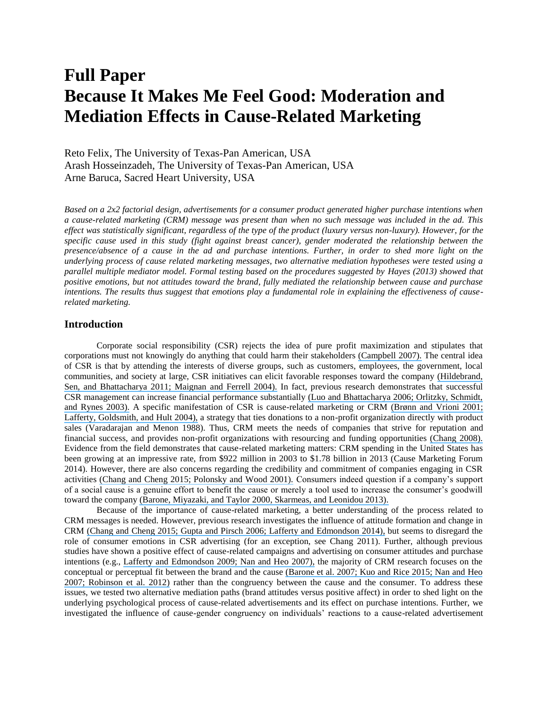## **Full Paper Because It Makes Me Feel Good: Moderation and Mediation Effects in Cause-Related Marketing**

Reto Felix, The University of Texas-Pan American, USA Arash Hosseinzadeh, The University of Texas-Pan American, USA Arne Baruca, Sacred Heart University, USA

*Based on a 2x2 factorial design, advertisements for a consumer product generated higher purchase intentions when a cause-related marketing (CRM) message was present than when no such message was included in the ad. This effect was statistically significant, regardless of the type of the product (luxury versus non-luxury). However, for the*  specific cause used in this study (fight against breast cancer), gender moderated the relationship between the *presence/absence of a cause in the ad and purchase intentions. Further, in order to shed more light on the underlying process of cause related marketing messages, two alternative mediation hypotheses were tested using a parallel multiple mediator model. Formal testing based on the procedures suggested by Hayes (2013) showed that positive emotions, but not attitudes toward the brand, fully mediated the relationship between cause and purchase intentions. The results thus suggest that emotions play a fundamental role in explaining the effectiveness of causerelated marketing.*

### **Introduction**

Corporate social responsibility (CSR) rejects the idea of pure profit maximization and stipulates that corporations must not knowingly do anything that could harm their stakeholders [\(Campbell 2007\).](https://www.researchgate.net/publication/237542214_Why_Would_Corporations_Behave_in_Socially_Responsible_Ways_An_Institution_Theory_of_Corporate_Social_Responsibility?el=1_x_8&enrichId=rgreq-8d900088-9793-422a-b169-a2050dd05fbe&enrichSource=Y292ZXJQYWdlOzI4MzcxMTg0MjtBUzoyOTQ3NTYxOTUyOTExNDBAMTQ0NzI4Njc2MTU1MQ==) The central idea of CSR is that by attending the interests of diverse groups, such as customers, employees, the government, local communities, and society at large, CSR initiatives can elicit favorable responses toward the company [\(Hildebrand,](https://www.researchgate.net/publication/242341534_Corporate_social_responsibility_A_corporate_marketing_perspective?el=1_x_8&enrichId=rgreq-8d900088-9793-422a-b169-a2050dd05fbe&enrichSource=Y292ZXJQYWdlOzI4MzcxMTg0MjtBUzoyOTQ3NTYxOTUyOTExNDBAMTQ0NzI4Njc2MTU1MQ==)  [Sen, and Bhattacharya 2011; Maignan](https://www.researchgate.net/publication/242341534_Corporate_social_responsibility_A_corporate_marketing_perspective?el=1_x_8&enrichId=rgreq-8d900088-9793-422a-b169-a2050dd05fbe&enrichSource=Y292ZXJQYWdlOzI4MzcxMTg0MjtBUzoyOTQ3NTYxOTUyOTExNDBAMTQ0NzI4Njc2MTU1MQ==) and Ferrell 2004). In fact, previous research demonstrates that successful CSR management can increase financial performance substantially [\(Luo and Bhattacharya 2006; Orlitzky, Schmidt,](https://www.researchgate.net/publication/240296246_Corporate_Social_Responsibility_Customer_Satisfaction_and_Market_Value?el=1_x_8&enrichId=rgreq-8d900088-9793-422a-b169-a2050dd05fbe&enrichSource=Y292ZXJQYWdlOzI4MzcxMTg0MjtBUzoyOTQ3NTYxOTUyOTExNDBAMTQ0NzI4Njc2MTU1MQ==) [and Rynes 2003\).](https://www.researchgate.net/publication/240296246_Corporate_Social_Responsibility_Customer_Satisfaction_and_Market_Value?el=1_x_8&enrichId=rgreq-8d900088-9793-422a-b169-a2050dd05fbe&enrichSource=Y292ZXJQYWdlOzI4MzcxMTg0MjtBUzoyOTQ3NTYxOTUyOTExNDBAMTQ0NzI4Njc2MTU1MQ==) A specific manifestation of CSR is cause-related marketing or CRM [\(Brønn and Vrioni 2001;](https://www.researchgate.net/publication/229859345_The_impact_of_the_alliance_on_the_partners_A_look_at_cause-brand_alliances?el=1_x_8&enrichId=rgreq-8d900088-9793-422a-b169-a2050dd05fbe&enrichSource=Y292ZXJQYWdlOzI4MzcxMTg0MjtBUzoyOTQ3NTYxOTUyOTExNDBAMTQ0NzI4Njc2MTU1MQ==)  [Lafferty, Goldsmith, and Hult 2004\),](https://www.researchgate.net/publication/229859345_The_impact_of_the_alliance_on_the_partners_A_look_at_cause-brand_alliances?el=1_x_8&enrichId=rgreq-8d900088-9793-422a-b169-a2050dd05fbe&enrichSource=Y292ZXJQYWdlOzI4MzcxMTg0MjtBUzoyOTQ3NTYxOTUyOTExNDBAMTQ0NzI4Njc2MTU1MQ==) a strategy that ties donations to a non-profit organization directly with product sales (Varadarajan and Menon 1988). Thus, CRM meets the needs of companies that strive for reputation and financial success, and provides non-profit organizations with resourcing and funding opportunities [\(Chang 2008\).](https://www.researchgate.net/publication/229546497_To_Donate_or_Not_to_Donate_Product_Characteristics_and_Framing_Effects_of_Cause-Related_Marketing_on_Consumer_Purchase_Behavior?el=1_x_8&enrichId=rgreq-8d900088-9793-422a-b169-a2050dd05fbe&enrichSource=Y292ZXJQYWdlOzI4MzcxMTg0MjtBUzoyOTQ3NTYxOTUyOTExNDBAMTQ0NzI4Njc2MTU1MQ==)  Evidence from the field demonstrates that cause-related marketing matters: CRM spending in the United States has been growing at an impressive rate, from \$922 million in 2003 to \$1.78 billion in 2013 (Cause Marketing Forum 2014). However, there are also concerns regarding the credibility and commitment of companies engaging in CSR activities [\(Chang and Cheng 2015; Polonsky and Wood 2001\).](https://www.researchgate.net/publication/271630356_Tugging_on_Heartstrings_Shopping_Orientation_Mindset_and_Consumer_Responses_to_Cause-Related_Marketing?el=1_x_8&enrichId=rgreq-8d900088-9793-422a-b169-a2050dd05fbe&enrichSource=Y292ZXJQYWdlOzI4MzcxMTg0MjtBUzoyOTQ3NTYxOTUyOTExNDBAMTQ0NzI4Njc2MTU1MQ==) Consumers indeed question if a company's support of a social cause is a genuine effort to benefit the cause or merely a tool used to increase the consumer's goodwill toward the company [\(Barone, Miyazaki, and Taylor 2000, Skarmeas, and Leonidou 2013\).](https://www.researchgate.net/publication/225952088_The_Influence_of_Cause-Related_Marketing_on_Consumer_Choice_Does_One_Good_Turn_Deserve_Another?el=1_x_8&enrichId=rgreq-8d900088-9793-422a-b169-a2050dd05fbe&enrichSource=Y292ZXJQYWdlOzI4MzcxMTg0MjtBUzoyOTQ3NTYxOTUyOTExNDBAMTQ0NzI4Njc2MTU1MQ==)

Because of the importance of cause-related marketing, a better understanding of the process related to CRM messages is needed. However, previous research investigates the influence of attitude formation and change in CRM [\(Chang and Cheng 2015; Gupta and Pirsch](https://www.researchgate.net/publication/271630356_Tugging_on_Heartstrings_Shopping_Orientation_Mindset_and_Consumer_Responses_to_Cause-Related_Marketing?el=1_x_8&enrichId=rgreq-8d900088-9793-422a-b169-a2050dd05fbe&enrichSource=Y292ZXJQYWdlOzI4MzcxMTg0MjtBUzoyOTQ3NTYxOTUyOTExNDBAMTQ0NzI4Njc2MTU1MQ==) 2006; Lafferty and Edmondson 2014), but seems to disregard the role of consumer emotions in CSR advertising (for an exception, see Chang 2011). Further, although previous studies have shown a positive effect of cause-related campaigns and advertising on consumer attitudes and purchase intentions (e.g., [Lafferty and Edmondson 2009; Nan and Heo 2007\),](https://www.researchgate.net/publication/247887370_Portraying_the_Cause_Instead_of_the_Brand_in_Cause-Related_Marketing_ADS_Does_it_Really_Matter?el=1_x_8&enrichId=rgreq-8d900088-9793-422a-b169-a2050dd05fbe&enrichSource=Y292ZXJQYWdlOzI4MzcxMTg0MjtBUzoyOTQ3NTYxOTUyOTExNDBAMTQ0NzI4Njc2MTU1MQ==) the majority of CRM research focuses on the conceptual or perceptual fit between the brand and the cause [\(Barone et al. 2007; Kuo and Rice 2015; Nan and Heo](https://www.researchgate.net/publication/223246131_Consumer_response_to_retailer_use_of_cause-related_marketing_Is_more_fit_better?el=1_x_8&enrichId=rgreq-8d900088-9793-422a-b169-a2050dd05fbe&enrichSource=Y292ZXJQYWdlOzI4MzcxMTg0MjtBUzoyOTQ3NTYxOTUyOTExNDBAMTQ0NzI4Njc2MTU1MQ==) [2007; Robinson et al. 2012\)](https://www.researchgate.net/publication/223246131_Consumer_response_to_retailer_use_of_cause-related_marketing_Is_more_fit_better?el=1_x_8&enrichId=rgreq-8d900088-9793-422a-b169-a2050dd05fbe&enrichSource=Y292ZXJQYWdlOzI4MzcxMTg0MjtBUzoyOTQ3NTYxOTUyOTExNDBAMTQ0NzI4Njc2MTU1MQ==) rather than the congruency between the cause and the consumer. To address these issues, we tested two alternative mediation paths (brand attitudes versus positive affect) in order to shed light on the underlying psychological process of cause-related advertisements and its effect on purchase intentions. Further, we investigated the influence of cause-gender congruency on individuals' reactions to a cause-related advertisement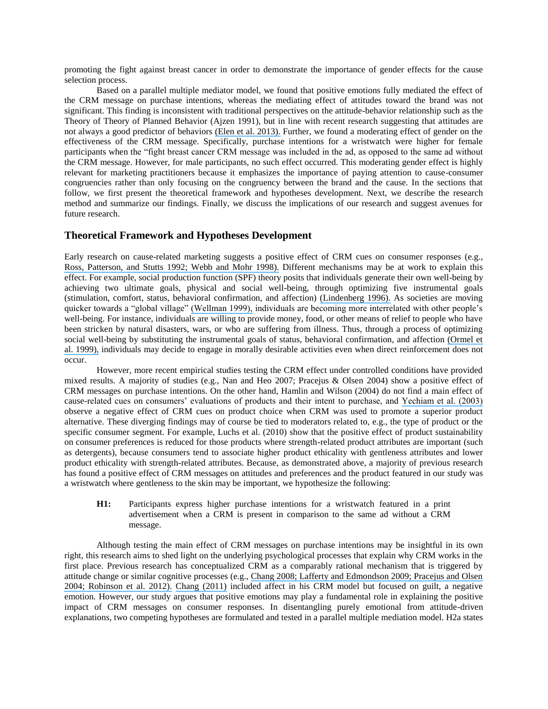promoting the fight against breast cancer in order to demonstrate the importance of gender effects for the cause selection process.

Based on a parallel multiple mediator model, we found that positive emotions fully mediated the effect of the CRM message on purchase intentions, whereas the mediating effect of attitudes toward the brand was not significant. This finding is inconsistent with traditional perspectives on the attitude-behavior relationship such as the Theory of Theory of Planned Behavior (Ajzen 1991), but in line with recent research suggesting that attitudes are not always a good predictor of behaviors [\(Elen et al. 2013\).](https://www.researchgate.net/publication/256977207_The_influence_of_mood_on_attitude-behavior_consistency?el=1_x_8&enrichId=rgreq-8d900088-9793-422a-b169-a2050dd05fbe&enrichSource=Y292ZXJQYWdlOzI4MzcxMTg0MjtBUzoyOTQ3NTYxOTUyOTExNDBAMTQ0NzI4Njc2MTU1MQ==) Further, we found a moderating effect of gender on the effectiveness of the CRM message. Specifically, purchase intentions for a wristwatch were higher for female participants when the "fight breast cancer CRM message was included in the ad, as opposed to the same ad without the CRM message. However, for male participants, no such effect occurred. This moderating gender effect is highly relevant for marketing practitioners because it emphasizes the importance of paying attention to cause-consumer congruencies rather than only focusing on the congruency between the brand and the cause. In the sections that follow, we first present the theoretical framework and hypotheses development. Next, we describe the research method and summarize our findings. Finally, we discuss the implications of our research and suggest avenues for future research.

#### **Theoretical Framework and Hypotheses Development**

Early research on cause-related marketing suggests a positive effect of CRM cues on consumer responses (e.g., Ross, Patterson, and Stutts [1992; Webb and Mohr 1998\).](https://www.researchgate.net/publication/225648065_Consumer_Perceptions_of_Organizations_That_Use_Cause-Related_Marketing?el=1_x_8&enrichId=rgreq-8d900088-9793-422a-b169-a2050dd05fbe&enrichSource=Y292ZXJQYWdlOzI4MzcxMTg0MjtBUzoyOTQ3NTYxOTUyOTExNDBAMTQ0NzI4Njc2MTU1MQ==) Different mechanisms may be at work to explain this effect. For example, social production function (SPF) theory posits that individuals generate their own well-being by achieving two ultimate goals, physical and social well-being, through optimizing five instrumental goals (stimulation, comfort, status, behavioral confirmation, and affection) [\(Lindenberg 1996\).](https://www.researchgate.net/publication/265155440_Continuities_in_the_theory_10_of_social_production_functions?el=1_x_8&enrichId=rgreq-8d900088-9793-422a-b169-a2050dd05fbe&enrichSource=Y292ZXJQYWdlOzI4MzcxMTg0MjtBUzoyOTQ3NTYxOTUyOTExNDBAMTQ0NzI4Njc2MTU1MQ==) As societies are moving quicker towards a "global village" [\(Wellman 1999\),](https://www.researchgate.net/publication/265190621_The_Network_Community_An_Introduction?el=1_x_8&enrichId=rgreq-8d900088-9793-422a-b169-a2050dd05fbe&enrichSource=Y292ZXJQYWdlOzI4MzcxMTg0MjtBUzoyOTQ3NTYxOTUyOTExNDBAMTQ0NzI4Njc2MTU1MQ==) individuals are becoming more interrelated with other people's well-being. For instance, individuals are willing to provide money, food, or other means of relief to people who have been stricken by natural disasters, wars, or who are suffering from illness. Thus, through a process of optimizing social well-being by substituting the instrumental goals of status, behavioral confirmation, and affection [\(Ormel et](https://www.researchgate.net/publication/226630212_Subjective_Well-Being_and_Social_Production_Functions?el=1_x_8&enrichId=rgreq-8d900088-9793-422a-b169-a2050dd05fbe&enrichSource=Y292ZXJQYWdlOzI4MzcxMTg0MjtBUzoyOTQ3NTYxOTUyOTExNDBAMTQ0NzI4Njc2MTU1MQ==) [al. 1999\),](https://www.researchgate.net/publication/226630212_Subjective_Well-Being_and_Social_Production_Functions?el=1_x_8&enrichId=rgreq-8d900088-9793-422a-b169-a2050dd05fbe&enrichSource=Y292ZXJQYWdlOzI4MzcxMTg0MjtBUzoyOTQ3NTYxOTUyOTExNDBAMTQ0NzI4Njc2MTU1MQ==) individuals may decide to engage in morally desirable activities even when direct reinforcement does not occur.

However, more recent empirical studies testing the CRM effect under controlled conditions have provided mixed results. A majority of studies (e.g., Nan and Heo 2007; Pracejus & Olsen 2004) show a positive effect of CRM messages on purchase intentions. On the other hand, Hamlin and Wilson (2004) do not find a main effect of cause-related cues on consumers' evaluations of products and their intent to purchase, and [Yechiam et al. \(2003\)](https://www.researchgate.net/publication/227733003_On_the_robustness_and_the_direction_of_the_effect_of_cause-related_marketing?el=1_x_8&enrichId=rgreq-8d900088-9793-422a-b169-a2050dd05fbe&enrichSource=Y292ZXJQYWdlOzI4MzcxMTg0MjtBUzoyOTQ3NTYxOTUyOTExNDBAMTQ0NzI4Njc2MTU1MQ==)  observe a negative effect of CRM cues on product choice when CRM was used to promote a superior product alternative. These diverging findings may of course be tied to moderators related to, e.g., the type of product or the specific consumer segment. For example, Luchs et al. (2010) show that the positive effect of product sustainability on consumer preferences is reduced for those products where strength-related product attributes are important (such as detergents), because consumers tend to associate higher product ethicality with gentleness attributes and lower product ethicality with strength-related attributes. Because, as demonstrated above, a majority of previous research has found a positive effect of CRM messages on attitudes and preferences and the product featured in our study was a wristwatch where gentleness to the skin may be important, we hypothesize the following:

**H1:** Participants express higher purchase intentions for a wristwatch featured in a print advertisement when a CRM is present in comparison to the same ad without a CRM message.

Although testing the main effect of CRM messages on purchase intentions may be insightful in its own right, this research aims to shed light on the underlying psychological processes that explain why CRM works in the first place. Previous research has conceptualized CRM as a comparably rational mechanism that is triggered by attitude change or similar cognitive processes (e.g., [Chang 2008; Lafferty and Edmondson 2009; Pracejus and Olsen](https://www.researchgate.net/publication/229546497_To_Donate_or_Not_to_Donate_Product_Characteristics_and_Framing_Effects_of_Cause-Related_Marketing_on_Consumer_Purchase_Behavior?el=1_x_8&enrichId=rgreq-8d900088-9793-422a-b169-a2050dd05fbe&enrichSource=Y292ZXJQYWdlOzI4MzcxMTg0MjtBUzoyOTQ3NTYxOTUyOTExNDBAMTQ0NzI4Njc2MTU1MQ==) [2004; Robinson et al. 2012\).](https://www.researchgate.net/publication/229546497_To_Donate_or_Not_to_Donate_Product_Characteristics_and_Framing_Effects_of_Cause-Related_Marketing_on_Consumer_Purchase_Behavior?el=1_x_8&enrichId=rgreq-8d900088-9793-422a-b169-a2050dd05fbe&enrichSource=Y292ZXJQYWdlOzI4MzcxMTg0MjtBUzoyOTQ3NTYxOTUyOTExNDBAMTQ0NzI4Njc2MTU1MQ==) [Chang \(2011\)](https://www.researchgate.net/publication/269553739_Guilt_appeals_in_cause-related_marketing_The_subversive_roles_of_product_type_and_donation_magnitude?el=1_x_8&enrichId=rgreq-8d900088-9793-422a-b169-a2050dd05fbe&enrichSource=Y292ZXJQYWdlOzI4MzcxMTg0MjtBUzoyOTQ3NTYxOTUyOTExNDBAMTQ0NzI4Njc2MTU1MQ==) included affect in his CRM model but focused on guilt, a negative emotion. However, our study argues that positive emotions may play a fundamental role in explaining the positive impact of CRM messages on consumer responses. In disentangling purely emotional from attitude-driven explanations, two competing hypotheses are formulated and tested in a parallel multiple mediation model. H2a states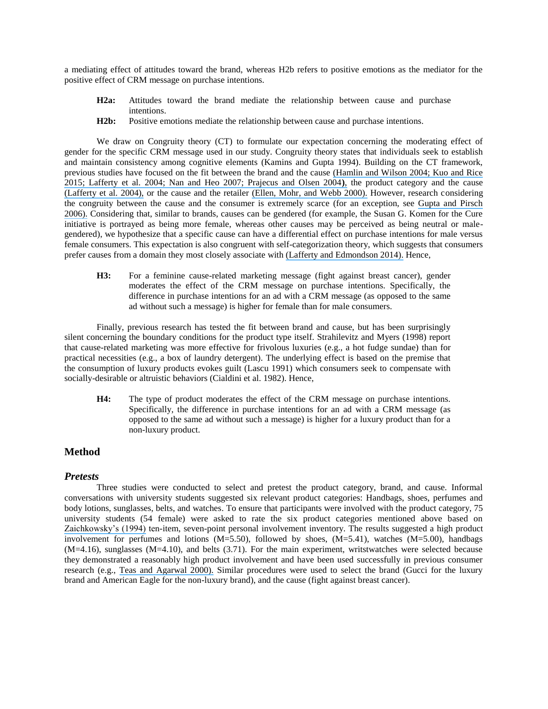a mediating effect of attitudes toward the brand, whereas H2b refers to positive emotions as the mediator for the positive effect of CRM message on purchase intentions.

- **H2a:** Attitudes toward the brand mediate the relationship between cause and purchase intentions.
- **H2b:** Positive emotions mediate the relationship between cause and purchase intentions.

We draw on Congruity theory (CT) to formulate our expectation concerning the moderating effect of gender for the specific CRM message used in our study. Congruity theory states that individuals seek to establish and maintain consistency among cognitive elements (Kamins and Gupta 1994). Building on the CT framework, previous studies have focused on the fit between the brand and the cause [\(Hamlin and Wilson 2004; Kuo and Rice](https://www.researchgate.net/publication/247495094_The_Impact_of_Cause_Branding_on_Consumer_Reactions_to_Products_Does_ProductCause_)  [2015; Lafferty et al. 2004; Nan and Heo 2007; Prajecus and Olsen 2004](https://www.researchgate.net/publication/247495094_The_Impact_of_Cause_Branding_on_Consumer_Reactions_to_Products_Does_ProductCause_)**)**, the product category and the cause [\(Lafferty et al. 2004\),](https://www.researchgate.net/publication/229859345_The_impact_of_the_alliance_on_the_partners_A_look_at_cause-brand_alliances?el=1_x_8&enrichId=rgreq-8d900088-9793-422a-b169-a2050dd05fbe&enrichSource=Y292ZXJQYWdlOzI4MzcxMTg0MjtBUzoyOTQ3NTYxOTUyOTExNDBAMTQ0NzI4Njc2MTU1MQ==) or the cause and the retailer [\(Ellen, Mohr, and Webb 2000\).](https://www.researchgate.net/publication/222119162_Charitable_Programs_and_the_Retailer_Do_They_Mix?el=1_x_8&enrichId=rgreq-8d900088-9793-422a-b169-a2050dd05fbe&enrichSource=Y292ZXJQYWdlOzI4MzcxMTg0MjtBUzoyOTQ3NTYxOTUyOTExNDBAMTQ0NzI4Njc2MTU1MQ==) However, research considering the congruity between the cause and the consumer is extremely scarce (for an exception, see [Gupta and Pirsch](https://www.researchgate.net/publication/235251342_The_company-cause-customer_fit_decision_in_cause-related_marketing?el=1_x_8&enrichId=rgreq-8d900088-9793-422a-b169-a2050dd05fbe&enrichSource=Y292ZXJQYWdlOzI4MzcxMTg0MjtBUzoyOTQ3NTYxOTUyOTExNDBAMTQ0NzI4Njc2MTU1MQ==) [2006\).](https://www.researchgate.net/publication/235251342_The_company-cause-customer_fit_decision_in_cause-related_marketing?el=1_x_8&enrichId=rgreq-8d900088-9793-422a-b169-a2050dd05fbe&enrichSource=Y292ZXJQYWdlOzI4MzcxMTg0MjtBUzoyOTQ3NTYxOTUyOTExNDBAMTQ0NzI4Njc2MTU1MQ==) Considering that, similar to brands, causes can be gendered (for example, the Susan G. Komen for the Cure initiative is portrayed as being more female, whereas other causes may be perceived as being neutral or malegendered), we hypothesize that a specific cause can have a differential effect on purchase intentions for male versus female consumers. This expectation is also congruent with self-categorization theory, which suggests that consumers prefer causes from a domain they most closely associate with [\(Lafferty and Edmondson 2014\).](https://www.researchgate.net/publication/262194003_A_note_on_the_role_of_cause_type_in_cause-related_marketing?el=1_x_8&enrichId=rgreq-8d900088-9793-422a-b169-a2050dd05fbe&enrichSource=Y292ZXJQYWdlOzI4MzcxMTg0MjtBUzoyOTQ3NTYxOTUyOTExNDBAMTQ0NzI4Njc2MTU1MQ==) Hence,

**H3:** For a feminine cause-related marketing message (fight against breast cancer), gender moderates the effect of the CRM message on purchase intentions. Specifically, the difference in purchase intentions for an ad with a CRM message (as opposed to the same ad without such a message) is higher for female than for male consumers.

Finally, previous research has tested the fit between brand and cause, but has been surprisingly silent concerning the boundary conditions for the product type itself. Strahilevitz and Myers (1998) report that cause-related marketing was more effective for frivolous luxuries (e.g., a hot fudge sundae) than for practical necessities (e.g., a box of laundry detergent). The underlying effect is based on the premise that the consumption of luxury products evokes guilt (Lascu 1991) which consumers seek to compensate with socially-desirable or altruistic behaviors (Cialdini et al. 1982). Hence,

**H4:** The type of product moderates the effect of the CRM message on purchase intentions. Specifically, the difference in purchase intentions for an ad with a CRM message (as opposed to the same ad without such a message) is higher for a luxury product than for a non-luxury product.

#### **Method**

#### *Pretests*

Three studies were conducted to select and pretest the product category, brand, and cause. Informal conversations with university students suggested six relevant product categories: Handbags, shoes, perfumes and body lotions, sunglasses, belts, and watches. To ensure that participants were involved with the product category, 75 university students (54 female) were asked to rate the six product categories mentioned above based on [Zaichkowsky's \(1994\)](https://www.researchgate.net/publication/261622383_The_Personal_Involvement_Inventory_Reduction_Revision_and_Application_to_Advertising?el=1_x_8&enrichId=rgreq-8d900088-9793-422a-b169-a2050dd05fbe&enrichSource=Y292ZXJQYWdlOzI4MzcxMTg0MjtBUzoyOTQ3NTYxOTUyOTExNDBAMTQ0NzI4Njc2MTU1MQ==) ten-item, seven-point personal involvement inventory. The results suggested a high product involvement for perfumes and lotions  $(M=5.50)$ , followed by shoes,  $(M=5.41)$ , watches  $(M=5.00)$ , handbags (M=4.16), sunglasses (M=4.10), and belts (3.71). For the main experiment, writstwatches were selected because they demonstrated a reasonably high product involvement and have been used successfully in previous consumer research (e.g., [Teas and Agarwal 2000\).](https://www.researchgate.net/publication/248580598_The_Effects_of_Extrinsic_Product_Cues_on_Consumers) Similar procedures were used to select the brand (Gucci for the luxury brand and American Eagle for the non-luxury brand), and the cause (fight against breast cancer).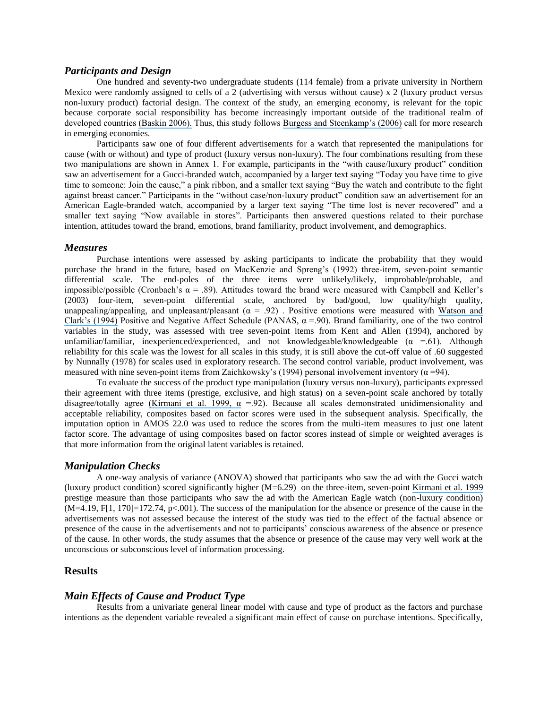#### *Participants and Design*

One hundred and seventy-two undergraduate students (114 female) from a private university in Northern Mexico were randomly assigned to cells of a 2 (advertising with versus without cause) x 2 (luxury product versus non-luxury product) factorial design. The context of the study, an emerging economy, is relevant for the topic because corporate social responsibility has become increasingly important outside of the traditional realm of developed countries [\(Baskin 2006\).](https://www.researchgate.net/publication/263376693_Corporate_Responsibility_in_Emerging_Markets?el=1_x_8&enrichId=rgreq-8d900088-9793-422a-b169-a2050dd05fbe&enrichSource=Y292ZXJQYWdlOzI4MzcxMTg0MjtBUzoyOTQ3NTYxOTUyOTExNDBAMTQ0NzI4Njc2MTU1MQ==) Thus, this study follows [Burgess and Steenkamp's \(2006\)](https://www.researchgate.net/publication/222527554_Marketing_Renaissance_How_Research_in_Emerging_Markets_Advances_Marketing_Science_and_Practice?el=1_x_8&enrichId=rgreq-8d900088-9793-422a-b169-a2050dd05fbe&enrichSource=Y292ZXJQYWdlOzI4MzcxMTg0MjtBUzoyOTQ3NTYxOTUyOTExNDBAMTQ0NzI4Njc2MTU1MQ==) call for more research in emerging economies.

Participants saw one of four different advertisements for a watch that represented the manipulations for cause (with or without) and type of product (luxury versus non-luxury). The four combinations resulting from these two manipulations are shown in Annex 1. For example, participants in the "with cause/luxury product" condition saw an advertisement for a Gucci-branded watch, accompanied by a larger text saying "Today you have time to give time to someone: Join the cause," a pink ribbon, and a smaller text saying "Buy the watch and contribute to the fight against breast cancer." Participants in the "without case/non-luxury product" condition saw an advertisement for an American Eagle-branded watch, accompanied by a larger text saying "The time lost is never recovered" and a smaller text saying "Now available in stores". Participants then answered questions related to their purchase intention, attitudes toward the brand, emotions, brand familiarity, product involvement, and demographics.

#### *Measures*

Purchase intentions were assessed by asking participants to indicate the probability that they would purchase the brand in the future, based on MacKenzie and Spreng's (1992) three-item, seven-point semantic differential scale. The end-poles of the three items were unlikely/likely, improbable/probable, and impossible/possible (Cronbach's  $\alpha$  = .89). Attitudes toward the brand were measured with Campbell and Keller's (2003) four-item, seven-point differential scale, anchored by bad/good, low quality/high quality, unappealing/appealing, and unpleasant/pleasant  $(\alpha = .92)$ . Positive emotions were measured with Watson and [Clark's \(1994\)](https://www.researchgate.net/publication/48667272_The_PANAS-X_Manual_for_the_Positive_and_Negative_Affect_Schedule_-_expanded_form_8-1-1999?el=1_x_8&enrichId=rgreq-8d900088-9793-422a-b169-a2050dd05fbe&enrichSource=Y292ZXJQYWdlOzI4MzcxMTg0MjtBUzoyOTQ3NTYxOTUyOTExNDBAMTQ0NzI4Njc2MTU1MQ==) Positive and Negative Affect Schedule (PANAS,  $\alpha$  =.90). Brand familiarity, one of the two control variables in the study, was assessed with tree seven-point items from Kent and Allen (1994), anchored by unfamiliar/familiar, inexperienced/experienced, and not knowledgeable/knowledgeable  $(\alpha = .61)$ . Although reliability for this scale was the lowest for all scales in this study, it is still above the cut-off value of .60 suggested by Nunnally (1978) for scales used in exploratory research. The second control variable, product involvement, was measured with nine seven-point items from Zaichkowsky's (1994) personal involvement inventory ( $\alpha$  =94).

To evaluate the success of the product type manipulation (luxury versus non-luxury), participants expressed their agreement with three items (prestige, exclusive, and high status) on a seven-point scale anchored by totally disagree/totally agree (Kirmani et al. 1999,  $\alpha$  =.92). Because all scales demonstrated unidimensionality and acceptable reliability, composites based on factor scores were used in the subsequent analysis. Specifically, the imputation option in AMOS 22.0 was used to reduce the scores from the multi-item measures to just one latent factor score. The advantage of using composites based on factor scores instead of simple or weighted averages is that more information from the original latent variables is retained.

#### *Manipulation Checks*

A one-way analysis of variance (ANOVA) showed that participants who saw the ad with the Gucci watch (luxury product condition) scored significantly higher (M=6.29) on the three-item, seven-point [Kirmani et al. 1999](https://www.researchgate.net/publication/277429130_The_Ownership_Effect_in_Consumer_Responses_to_Brand_Line_Stretches?el=1_x_8&enrichId=rgreq-8d900088-9793-422a-b169-a2050dd05fbe&enrichSource=Y292ZXJQYWdlOzI4MzcxMTg0MjtBUzoyOTQ3NTYxOTUyOTExNDBAMTQ0NzI4Njc2MTU1MQ==)  prestige measure than those participants who saw the ad with the American Eagle watch (non-luxury condition)  $(M=4.19, F[1, 170]=172.74, p<.001$ . The success of the manipulation for the absence or presence of the cause in the advertisements was not assessed because the interest of the study was tied to the effect of the factual absence or presence of the cause in the advertisements and not to participants' conscious awareness of the absence or presence of the cause. In other words, the study assumes that the absence or presence of the cause may very well work at the unconscious or subconscious level of information processing.

#### **Results**

#### *Main Effects of Cause and Product Type*

Results from a univariate general linear model with cause and type of product as the factors and purchase intentions as the dependent variable revealed a significant main effect of cause on purchase intentions. Specifically,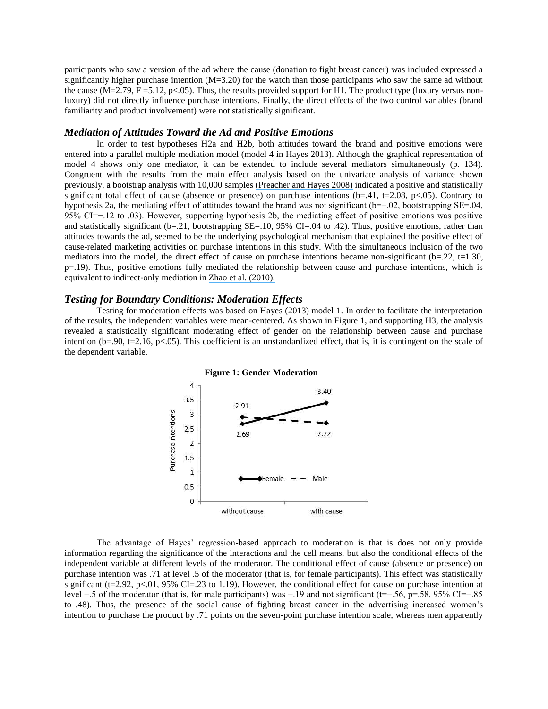participants who saw a version of the ad where the cause (donation to fight breast cancer) was included expressed a significantly higher purchase intention  $(M=3.20)$  for the watch than those participants who saw the same ad without the cause (M=2.79, F = 5.12, p < 0.05). Thus, the results provided support for H1. The product type (luxury versus nonluxury) did not directly influence purchase intentions. Finally, the direct effects of the two control variables (brand familiarity and product involvement) were not statistically significant.

#### *Mediation of Attitudes Toward the Ad and Positive Emotions*

In order to test hypotheses H2a and H2b, both attitudes toward the brand and positive emotions were entered into a parallel multiple mediation model (model 4 in Hayes 2013). Although the graphical representation of model 4 shows only one mediator, it can be extended to include several mediators simultaneously (p. 134). Congruent with the results from the main effect analysis based on the univariate analysis of variance shown previously, a bootstrap analysis with 10,000 samples [\(Preacher and Hayes 2008\)](https://www.researchgate.net/publication/23165514_Asymptotic_and_Resampling_for_Assessing_and_Comparing_Indirect_Effects_in_Simple_Mediation_Models?el=1_x_8&enrichId=rgreq-8d900088-9793-422a-b169-a2050dd05fbe&enrichSource=Y292ZXJQYWdlOzI4MzcxMTg0MjtBUzoyOTQ3NTYxOTUyOTExNDBAMTQ0NzI4Njc2MTU1MQ==) indicated a positive and statistically significant total effect of cause (absence or presence) on purchase intentions (b=.41, t=2.08, p<.05). Contrary to hypothesis 2a, the mediating effect of attitudes toward the brand was not significant (b=−.02, bootstrapping SE=.04, 95% CI=−.12 to .03). However, supporting hypothesis 2b, the mediating effect of positive emotions was positive and statistically significant (b=.21, bootstrapping SE=.10, 95% CI=.04 to .42). Thus, positive emotions, rather than attitudes towards the ad, seemed to be the underlying psychological mechanism that explained the positive effect of cause-related marketing activities on purchase intentions in this study. With the simultaneous inclusion of the two mediators into the model, the direct effect of cause on purchase intentions became non-significant ( $b=0.22$ ,  $t=1.30$ , p=.19). Thus, positive emotions fully mediated the relationship between cause and purchase intentions, which is equivalent to indirect-only mediation in [Zhao et al. \(2010\).](https://www.researchgate.net/publication/228424966_Zhao_X_Lynch_JG_Chen_Q_Reconsidering_Baron_and_Kenny_myths_and_truths_about_mediation_analysis?el=1_x_8&enrichId=rgreq-8d900088-9793-422a-b169-a2050dd05fbe&enrichSource=Y292ZXJQYWdlOzI4MzcxMTg0MjtBUzoyOTQ3NTYxOTUyOTExNDBAMTQ0NzI4Njc2MTU1MQ==)

#### *Testing for Boundary Conditions: Moderation Effects*

Testing for moderation effects was based on Hayes (2013) model 1. In order to facilitate the interpretation of the results, the independent variables were mean-centered. As shown in Figure 1, and supporting H3, the analysis revealed a statistically significant moderating effect of gender on the relationship between cause and purchase intention (b=.90, t=2.16, p<.05). This coefficient is an unstandardized effect, that is, it is contingent on the scale of the dependent variable.



#### **Figure 1: Gender Moderation**

The advantage of Hayes' regression-based approach to moderation is that is does not only provide information regarding the significance of the interactions and the cell means, but also the conditional effects of the independent variable at different levels of the moderator. The conditional effect of cause (absence or presence) on purchase intention was .71 at level .5 of the moderator (that is, for female participants). This effect was statistically significant (t=2.92, p<.01, 95% CI=.23 to 1.19). However, the conditional effect for cause on purchase intention at level −.5 of the moderator (that is, for male participants) was −.19 and not significant (t=−.56, p=.58, 95% CI=−.85 to .48). Thus, the presence of the social cause of fighting breast cancer in the advertising increased women's intention to purchase the product by .71 points on the seven-point purchase intention scale, whereas men apparently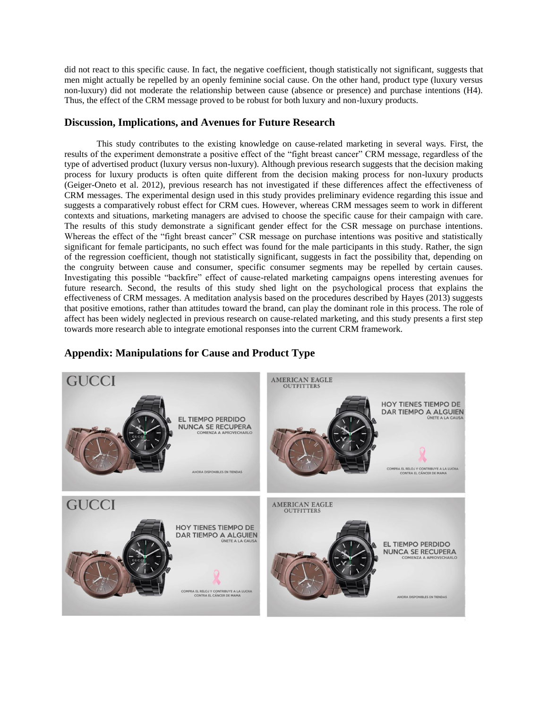did not react to this specific cause. In fact, the negative coefficient, though statistically not significant, suggests that men might actually be repelled by an openly feminine social cause. On the other hand, product type (luxury versus non-luxury) did not moderate the relationship between cause (absence or presence) and purchase intentions (H4). Thus, the effect of the CRM message proved to be robust for both luxury and non-luxury products.

## **Discussion, Implications, and Avenues for Future Research**

This study contributes to the existing knowledge on cause-related marketing in several ways. First, the results of the experiment demonstrate a positive effect of the "fight breast cancer" CRM message, regardless of the type of advertised product (luxury versus non-luxury). Although previous research suggests that the decision making process for luxury products is often quite different from the decision making process for non-luxury products (Geiger-Oneto et al. 2012), previous research has not investigated if these differences affect the effectiveness of CRM messages. The experimental design used in this study provides preliminary evidence regarding this issue and suggests a comparatively robust effect for CRM cues. However, whereas CRM messages seem to work in different contexts and situations, marketing managers are advised to choose the specific cause for their campaign with care. The results of this study demonstrate a significant gender effect for the CSR message on purchase intentions. Whereas the effect of the "fight breast cancer" CSR message on purchase intentions was positive and statistically significant for female participants, no such effect was found for the male participants in this study. Rather, the sign of the regression coefficient, though not statistically significant, suggests in fact the possibility that, depending on the congruity between cause and consumer, specific consumer segments may be repelled by certain causes. Investigating this possible "backfire" effect of cause-related marketing campaigns opens interesting avenues for future research. Second, the results of this study shed light on the psychological process that explains the effectiveness of CRM messages. A meditation analysis based on the procedures described by Hayes (2013) suggests that positive emotions, rather than attitudes toward the brand, can play the dominant role in this process. The role of affect has been widely neglected in previous research on cause-related marketing, and this study presents a first step towards more research able to integrate emotional responses into the current CRM framework.

## **Appendix: Manipulations for Cause and Product Type**

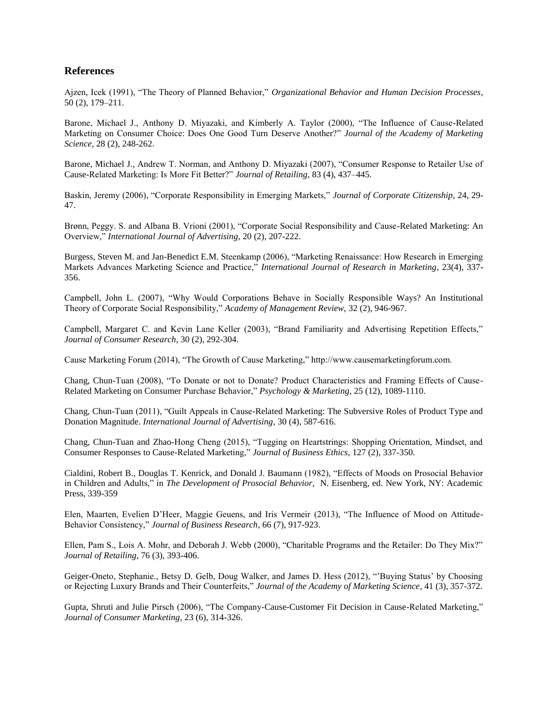## **References**

Ajzen, Icek (1991), "The Theory of Planned Behavior," *Organizational Behavior and Human Decision Processes*, 50 (2), 179–211.

Barone, Michael J., Anthony D. Miyazaki, and Kimberly A. Taylor (2000), "The Influence of Cause-Related Marketing on Consumer Choice: Does One Good Turn Deserve Another?" *Journal of the Academy of Marketing Science*, 28 (2), 248-262.

Barone, Michael J., Andrew T. Norman, and Anthony D. Miyazaki (2007), "Consumer Response to Retailer Use of Cause-Related Marketing: Is More Fit Better?" *Journal of Retailing*, 83 (4), 437–445.

Baskin, Jeremy (2006), "Corporate Responsibility in Emerging Markets," *Journal of Corporate Citizenship*, 24, 29- 47.

Brønn, Peggy. S. and Albana B. Vrioni (2001), "Corporate Social Responsibility and Cause-Related Marketing: An Overview," *International Journal of Advertising*, 20 (2), 207-222.

Burgess, Steven M. and Jan-Benedict E.M. Steenkamp (2006), "Marketing Renaissance: How Research in Emerging Markets Advances Marketing Science and Practice," *International Journal of Research in Marketing*, 23(4), 337- 356.

Campbell, John L. (2007), "Why Would Corporations Behave in Socially Responsible Ways? An Institutional Theory of Corporate Social Responsibility," *Academy of Management Review,* 32 (2), 946-967.

Campbell, Margaret C. and Kevin Lane Keller (2003), "Brand Familiarity and Advertising Repetition Effects," *Journal of Consumer Research*, 30 (2), 292-304.

Cause Marketing Forum (2014), "The Growth of Cause Marketing," http://www.causemarketingforum.com.

Chang, Chun-Tuan (2008), "To Donate or not to Donate? Product Characteristics and Framing Effects of Cause-Related Marketing on Consumer Purchase Behavior," *Psychology & Marketing*, 25 (12), 1089-1110.

Chang, Chun-Tuan (2011), "Guilt Appeals in Cause-Related Marketing: The Subversive Roles of Product Type and Donation Magnitude. *International Journal of Advertising*, 30 (4), 587-616.

Chang, Chun-Tuan and Zhao-Hong Cheng (2015), "Tugging on Heartstrings: Shopping Orientation, Mindset, and Consumer Responses to Cause-Related Marketing," *Journal of Business Ethics*, 127 (2), 337-350.

Cialdini, Robert B., Douglas T. Kenrick, and Donald J. Baumann (1982), "Effects of Moods on Prosocial Behavior in Children and Adults," in *The Development of Prosocial Behavior,* N. Eisenberg, ed. New York, NY: Academic Press, 339-359

Elen, Maarten, Evelien D'Heer, Maggie Geuens, and Iris Vermeir (2013), "The Influence of Mood on Attitude-Behavior Consistency," *Journal of Business Research*, 66 (7), 917-923.

Ellen, Pam S., Lois A. Mohr, and Deborah J. Webb (2000), "Charitable Programs and the Retailer: Do They Mix?" *Journal of Retailing*, 76 (3), 393-406.

Geiger-Oneto, Stephanie., Betsy D. Gelb, Doug Walker, and James D. Hess (2012), "'Buying Status' by Choosing or Rejecting Luxury Brands and Their Counterfeits," *Journal of the Academy of Marketing Science*, 41 (3), 357-372.

Gupta, Shruti and Julie Pirsch (2006), "The Company-Cause-Customer Fit Decision in Cause-Related Marketing," *Journal of Consumer Marketing*, 23 (6), 314-326.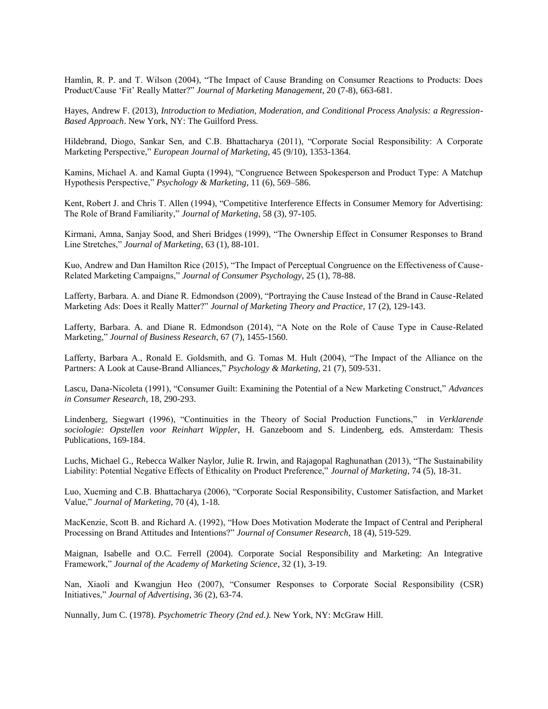Hamlin, R. P. and T. Wilson (2004), "The Impact of Cause Branding on Consumer Reactions to Products: Does Product/Cause 'Fit' Really Matter?" *Journal of Marketing Management*, 20 (7-8), 663-681.

Hayes, Andrew F. (2013), *Introduction to Mediation, Moderation, and Conditional Process Analysis: a Regression-Based Approach*. New York, NY: The Guilford Press.

Hildebrand, Diogo, Sankar Sen, and C.B. Bhattacharya (2011), "Corporate Social Responsibility: A Corporate Marketing Perspective," *European Journal of Marketing*, 45 (9/10), 1353-1364.

Kamins, Michael A. and Kamal Gupta (1994), "Congruence Between Spokesperson and Product Type: A Matchup Hypothesis Perspective," *Psychology & Marketing*, 11 (6), 569–586.

Kent, Robert J. and Chris T. Allen (1994), "Competitive Interference Effects in Consumer Memory for Advertising: The Role of Brand Familiarity," *Journal of Marketing*, 58 (3), 97-105.

Kirmani, Amna, Sanjay Sood, and Sheri Bridges (1999), "The Ownership Effect in Consumer Responses to Brand Line Stretches," *Journal of Marketing*, 63 (1), 88-101.

Kuo, Andrew and Dan Hamilton Rice (2015), "The Impact of Perceptual Congruence on the Effectiveness of Cause-Related Marketing Campaigns," *Journal of Consumer Psychology*, 25 (1), 78-88.

Lafferty, Barbara. A. and Diane R. Edmondson (2009), "Portraying the Cause Instead of the Brand in Cause-Related Marketing Ads: Does it Really Matter?" *Journal of Marketing Theory and Practice*, 17 (2), 129-143.

Lafferty, Barbara. A. and Diane R. Edmondson (2014), "A Note on the Role of Cause Type in Cause-Related Marketing," *Journal of Business Research*, 67 (7), 1455-1560.

Lafferty, Barbara A., Ronald E. Goldsmith, and G. Tomas M. Hult (2004), "The Impact of the Alliance on the Partners: A Look at Cause-Brand Alliances," *Psychology & Marketing*, 21 (7), 509-531.

Lascu, Dana-Nicoleta (1991), "Consumer Guilt: Examining the Potential of a New Marketing Construct," *Advances in Consumer Research,* 18, 290-293.

Lindenberg, Siegwart (1996), "Continuities in the Theory of Social Production Functions," in *Verklarende sociologie: Opstellen voor Reinhart Wippler*, H. Ganzeboom and S. Lindenberg, eds. Amsterdam: Thesis Publications, 169-184.

Luchs, Michael G., Rebecca Walker Naylor, Julie R. Irwin, and Rajagopal Raghunathan (2013), "The Sustainability Liability: Potential Negative Effects of Ethicality on Product Preference," *Journal of Marketing*, 74 (5), 18-31.

Luo, Xueming and C.B. Bhattacharya (2006), "Corporate Social Responsibility, Customer Satisfaction, and Market Value," *Journal of Marketing*, 70 (4), 1-18.

MacKenzie, Scott B. and Richard A. (1992), "How Does Motivation Moderate the Impact of Central and Peripheral Processing on Brand Attitudes and Intentions?" *Journal of Consumer Research*, 18 (4), 519-529.

Maignan, Isabelle and O.C. Ferrell (2004). Corporate Social Responsibility and Marketing: An Integrative Framework," *Journal of the Academy of Marketing Science*, 32 (1), 3-19.

Nan, Xiaoli and Kwangjun Heo (2007), "Consumer Responses to Corporate Social Responsibility (CSR) Initiatives," *Journal of Advertising*, 36 (2), 63-74.

Nunnally, Jum C. (1978). *Psychometric Theory (2nd ed.).* New York, NY: McGraw Hill.